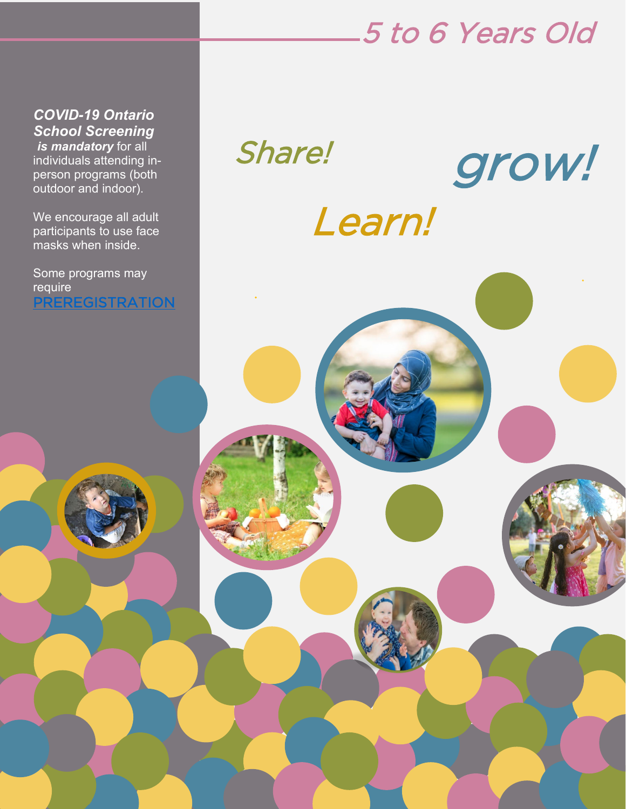## 5 to 6 Years Old

 *School Screening COVID-19 Ontario is mandatory* for all individuals attending inperson programs (both outdoor and indoor).

We encourage all adult participants to use face masks when inside.

Some programs may require [PREREGISTRATION](https://ptbocfc.ca/program-registration-form/) 

# Share! Learn! grow!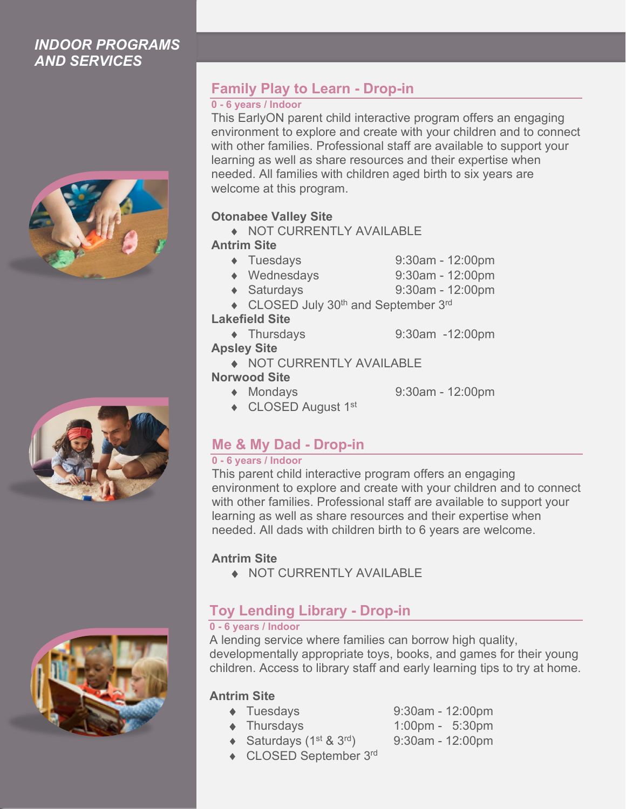### *INDOOR PROGRAMS AND SERVICES*







### **Family Play to Learn - Drop-in**

#### **0 - 6 years / Indoor**

This EarlyON parent child interactive program offers an engaging environment to explore and create with your children and to connect with other families. Professional staff are available to support your learning as well as share resources and their expertise when needed. All families with children aged birth to six years are welcome at this program.

### **Otonabee Valley Site**

♦ NOT CURRENTLY AVAILABLE

**Antrim Site**

- ♦ Tuesdays 9:30am 12:00pm
	- ♦ Wednesdays 9:30am 12:00pm
	- ♦ Saturdays 9:30am 12:00pm
- ◆ CLOSED July 30<sup>th</sup> and September 3<sup>rd</sup>

#### **Lakefield Site**

♦ Thursdays 9:30am -12:00pm

### **Apsley Site**

♦ NOT CURRENTLY AVAILABLE

### **Norwood Site**

- 
- ♦ Mondays 9:30am 12:00pm
- ◆ CLOSED August 1<sup>st</sup>

### **Me & My Dad - Drop-in**

### **0 - 6 years / Indoor**

This parent child interactive program offers an engaging environment to explore and create with your children and to connect with other families. Professional staff are available to support your learning as well as share resources and their expertise when needed. All dads with children birth to 6 years are welcome.

### **Antrim Site**

♦ NOT CURRENTLY AVAILABLE

### **Toy Lending Library - Drop-in**

### **0 - 6 years / Indoor**

A lending service where families can borrow high quality, developmentally appropriate toys, books, and games for their young children. Access to library staff and early learning tips to try at home.

### **Antrim Site**

- 
- 
- ◆ Saturdays  $(1^{st} 8 \ 3^{rd})$  9:30am 12:00pm
- ♦ CLOSED September 3rd
- ♦ Tuesdays 9:30am 12:00pm ♦ Thursdays 1:00pm - 5:30pm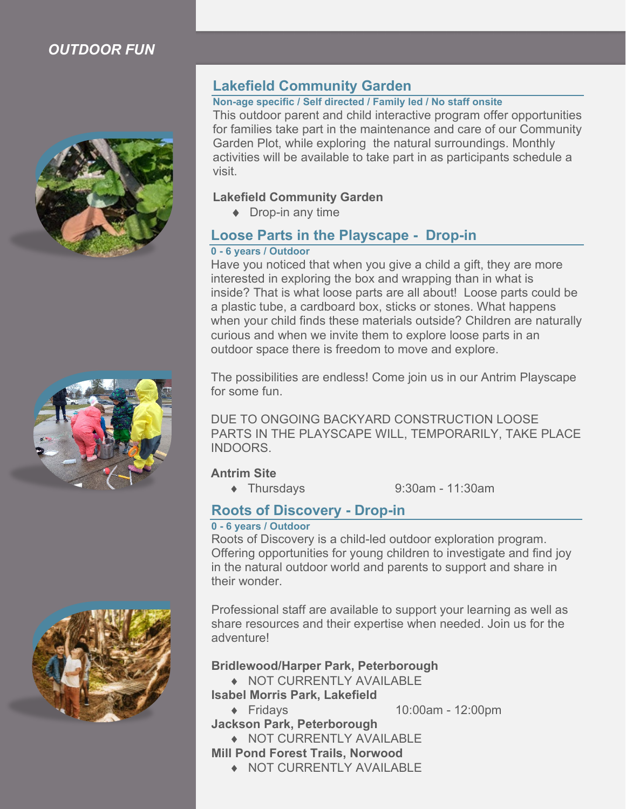### *OUTDOOR FUN*





### **Lakefield Community Garden**

#### **Non-age specific / Self directed / Family led / No staff onsite**

This outdoor parent and child interactive program offer opportunities for families take part in the maintenance and care of our Community Garden Plot, while exploring the natural surroundings. Monthly activities will be available to take part in as participants schedule a visit.

#### **Lakefield Community Garden**

♦ Drop-in any time

### **Loose Parts in the Playscape - Drop-in**

#### **0 - 6 years / Outdoor**

Have you noticed that when you give a child a gift, they are more interested in exploring the box and wrapping than in what is inside? That is what loose parts are all about! Loose parts could be a plastic tube, a cardboard box, sticks or stones. What happens when your child finds these materials outside? Children are naturally curious and when we invite them to explore loose parts in an outdoor space there is freedom to move and explore.

The possibilities are endless! Come join us in our Antrim Playscape for some fun.

DUE TO ONGOING BACKYARD CONSTRUCTION LOOSE PARTS IN THE PLAYSCAPE WILL, TEMPORARILY, TAKE PLACE INDOORS.

#### **Antrim Site**

♦ Thursdays 9:30am - 11:30am

### **Roots of Discovery - Drop-in**

#### **0 - 6 years / Outdoor**

Roots of Discovery is a child-led outdoor exploration program. Offering opportunities for young children to investigate and find joy in the natural outdoor world and parents to support and share in their wonder.

Professional staff are available to support your learning as well as share resources and their expertise when needed. Join us for the adventure!

#### **Bridlewood/Harper Park, Peterborough**

- ♦ NOT CURRENTLY AVAILABLE
- **Isabel Morris Park, Lakefield**
	-
- ♦ Fridays 10:00am 12:00pm **Jackson Park, Peterborough**

♦ NOT CURRENTLY AVAILABLE **Mill Pond Forest Trails, Norwood**

- - ♦ NOT CURRENTLY AVAILABLE

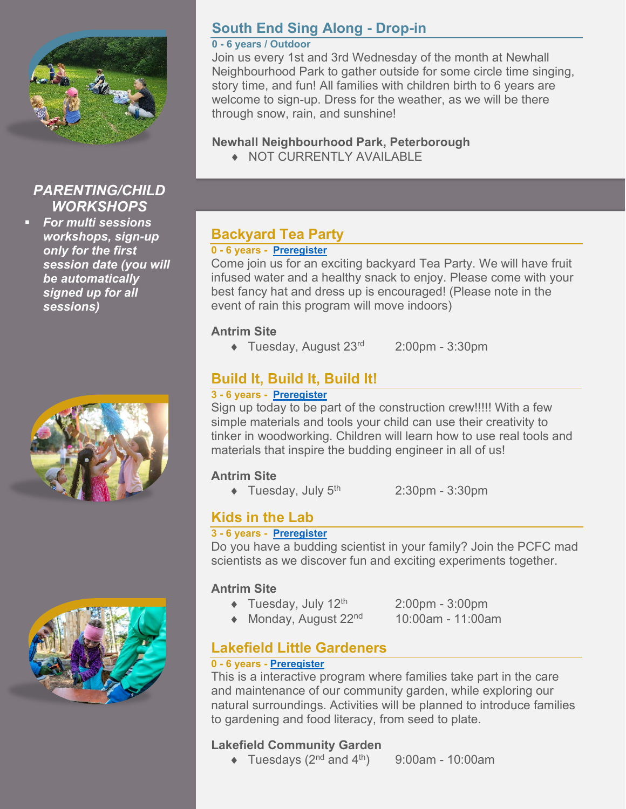

### *PARENTING/CHILD WORKSHOPS*

 *For multi sessions workshops, sign-up only for the first session date (you will be automatically signed up for all sessions)*





### **South End Sing Along - Drop-in**

#### **0 - 6 years / Outdoor**

Join us every 1st and 3rd Wednesday of the month at Newhall Neighbourhood Park to gather outside for some circle time singing, story time, and fun! All families with children birth to 6 years are welcome to sign-up. Dress for the weather, as we will be there through snow, rain, and sunshine!

### **Newhall Neighbourhood Park, Peterborough**

♦ NOT CURRENTLY AVAILABLE

### **Backyard Tea Party**

### **0 - 6 years - [Preregister](https://ptbocfc.ca/program-registration-form/)**

Come join us for an exciting backyard Tea Party. We will have fruit infused water and a healthy snack to enjoy. Please come with your best fancy hat and dress up is encouraged! (Please note in the event of rain this program will move indoors)

### **Antrim Site**

 $\blacklozenge$  Tuesday, August 23<sup>rd</sup> 2:00pm - 3:30pm

### **Build It, Build It, Build It!**

### **3 - 6 years - [Preregister](https://ptbocfc.ca/program-registration-form/)**

Sign up today to be part of the construction crew!!!!! With a few simple materials and tools your child can use their creativity to tinker in woodworking. Children will learn how to use real tools and materials that inspire the budding engineer in all of us!

### **Antrim Site**

- $\blacklozenge$  Tuesday, July 5<sup>th</sup> 2:30pm 3:30pm
- 

### **Kids in the Lab**

### **3 - 6 years - [Preregister](https://ptbocfc.ca/program-registration-form/)**

Do you have a budding scientist in your family? Join the PCFC mad scientists as we discover fun and exciting experiments together.

### **Antrim Site**

 $\bullet$  Tuesday, July 12<sup>th</sup> 2:00pm - 3:00pm

- $\triangleleft$  Monday, August 22<sup>nd</sup> 10:00am 11:00am
- **Lakefield Little Gardeners**

### **0 - 6 years - [Preregister](https://ptbocfc.ca/program-registration-form/)**

This is a interactive program where families take part in the care and maintenance of our community garden, while exploring our natural surroundings. Activities will be planned to introduce families to gardening and food literacy, from seed to plate.

### **Lakefield Community Garden**

 $\blacklozenge$  Tuesdays (2<sup>nd</sup> and 4<sup>th</sup>) 9:00am - 10:00am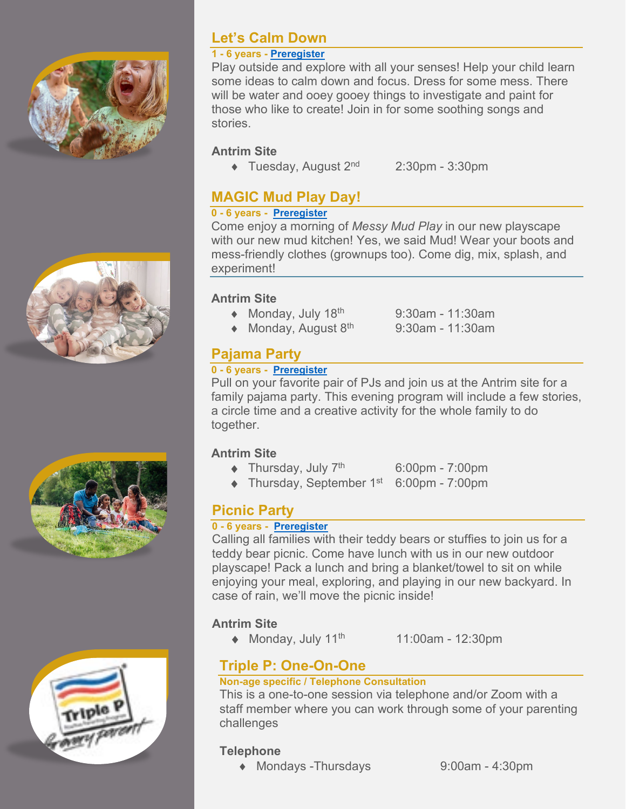





### **Let's Calm Down**

### **1 - 6 years - [Preregister](https://ptbocfc.ca/program-registration-form/)**

Play outside and explore with all your senses! Help your child learn some ideas to calm down and focus. Dress for some mess. There will be water and ooey gooey things to investigate and paint for those who like to create! Join in for some soothing songs and stories.

### **Antrim Site**

- $\blacklozenge$  Tuesday, August 2<sup>nd</sup> 2:30pm 3:30pm
- 

### **MAGIC Mud Play Day!**

## **0 - 6 years - [Preregister](https://ptbocfc.ca/program-registration-form/)**

Come enjoy a morning of *Messy Mud Play* in our new playscape with our new mud kitchen! Yes, we said Mud! Wear your boots and mess-friendly clothes (grownups too). Come dig, mix, splash, and experiment!

### **Antrim Site**

- $\triangleleft$  Monday, July 18<sup>th</sup> 9:30am 11:30am
- $\triangleleft$  Monday, August 8<sup>th</sup> 9:30am 11:30am

### **Pajama Party**

### **0 - 6 years - [Preregister](https://ptbocfc.ca/program-registration-form/)**

Pull on your favorite pair of PJs and join us at the Antrim site for a family pajama party. This evening program will include a few stories, a circle time and a creative activity for the whole family to do together.

### **Antrim Site**

- $\blacklozenge$  Thursday, July  $7<sup>th</sup>$  6:00pm 7:00pm
- $\blacklozenge$  Thursday, September 1<sup>st</sup> 6:00pm 7:00pm

### **Picnic Party**

### **0 - 6 years - [Preregister](https://ptbocfc.ca/program-registration-form/)**

Calling all families with their teddy bears or stuffies to join us for a teddy bear picnic. Come have lunch with us in our new outdoor playscape! Pack a lunch and bring a blanket/towel to sit on while enjoying your meal, exploring, and playing in our new backyard. In case of rain, we'll move the picnic inside!

### **Antrim Site**

- $\triangleleft$  Monday, July 11<sup>th</sup> 11:00am 12:30pm
- 

### **Triple P: One-On-One**

### **Non-age specific / Telephone Consultation**

This is a one-to-one session via telephone and/or Zoom with a staff member where you can work through some of your parenting challenges

### **Telephone**

◆ Mondays -Thursdays 9:00am - 4:30pm